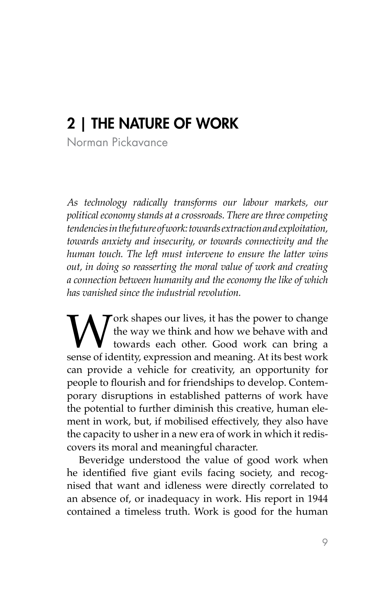# 2 | THE NATURE OF WORK

Norman Pickavance

*As technology radically transforms our labour markets, our political economy stands at a crossroads. There are three competing tendencies in the future of work: towards extraction and exploitation, towards anxiety and insecurity, or towards connectivity and the human touch. The left must intervene to ensure the latter wins out, in doing so reasserting the moral value of work and creating a connection between humanity and the economy the like of which has vanished since the industrial revolution.* 

Work shapes our lives, it has the power to change<br>the way we think and how we behave with and<br>towards each other. Good work can bring a<br>sense of identity, expression and meaning. At its best work the way we think and how we behave with and towards each other. Good work can bring a sense of identity, expression and meaning. At its best work can provide a vehicle for creativity, an opportunity for people to flourish and for friendships to develop. Contemporary disruptions in established patterns of work have the potential to further diminish this creative, human element in work, but, if mobilised effectively, they also have the capacity to usher in a new era of work in which it rediscovers its moral and meaningful character.

Beveridge understood the value of good work when he identified five giant evils facing society, and recognised that want and idleness were directly correlated to an absence of, or inadequacy in work. His report in 1944 contained a timeless truth. Work is good for the human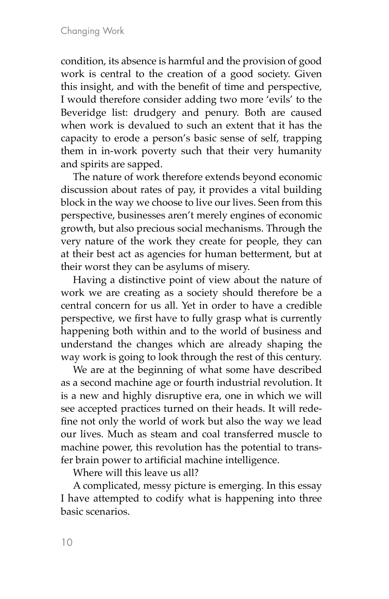condition, its absence is harmful and the provision of good work is central to the creation of a good society. Given this insight, and with the benefit of time and perspective, I would therefore consider adding two more 'evils' to the Beveridge list: drudgery and penury. Both are caused when work is devalued to such an extent that it has the capacity to erode a person's basic sense of self, trapping them in in-work poverty such that their very humanity and spirits are sapped.

The nature of work therefore extends beyond economic discussion about rates of pay, it provides a vital building block in the way we choose to live our lives. Seen from this perspective, businesses aren't merely engines of economic growth, but also precious social mechanisms. Through the very nature of the work they create for people, they can at their best act as agencies for human betterment, but at their worst they can be asylums of misery.

Having a distinctive point of view about the nature of work we are creating as a society should therefore be a central concern for us all. Yet in order to have a credible perspective, we first have to fully grasp what is currently happening both within and to the world of business and understand the changes which are already shaping the way work is going to look through the rest of this century.

We are at the beginning of what some have described as a second machine age or fourth industrial revolution. It is a new and highly disruptive era, one in which we will see accepted practices turned on their heads. It will redefine not only the world of work but also the way we lead our lives. Much as steam and coal transferred muscle to machine power, this revolution has the potential to transfer brain power to artificial machine intelligence.

Where will this leave us all?

A complicated, messy picture is emerging. In this essay I have attempted to codify what is happening into three basic scenarios.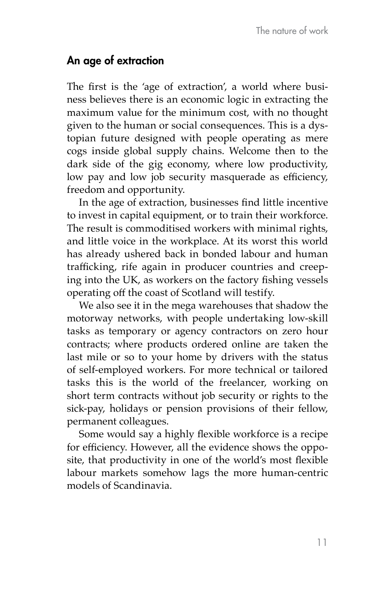### An age of extraction

The first is the 'age of extraction', a world where business believes there is an economic logic in extracting the maximum value for the minimum cost, with no thought given to the human or social consequences. This is a dystopian future designed with people operating as mere cogs inside global supply chains. Welcome then to the dark side of the gig economy, where low productivity, low pay and low job security masquerade as efficiency, freedom and opportunity.

In the age of extraction, businesses find little incentive to invest in capital equipment, or to train their workforce. The result is commoditised workers with minimal rights, and little voice in the workplace. At its worst this world has already ushered back in bonded labour and human trafficking, rife again in producer countries and creeping into the UK, as workers on the factory fishing vessels operating off the coast of Scotland will testify.

We also see it in the mega warehouses that shadow the motorway networks, with people undertaking low-skill tasks as temporary or agency contractors on zero hour contracts; where products ordered online are taken the last mile or so to your home by drivers with the status of self-employed workers. For more technical or tailored tasks this is the world of the freelancer, working on short term contracts without job security or rights to the sick-pay, holidays or pension provisions of their fellow, permanent colleagues.

Some would say a highly flexible workforce is a recipe for efficiency. However, all the evidence shows the opposite, that productivity in one of the world's most flexible labour markets somehow lags the more human-centric models of Scandinavia.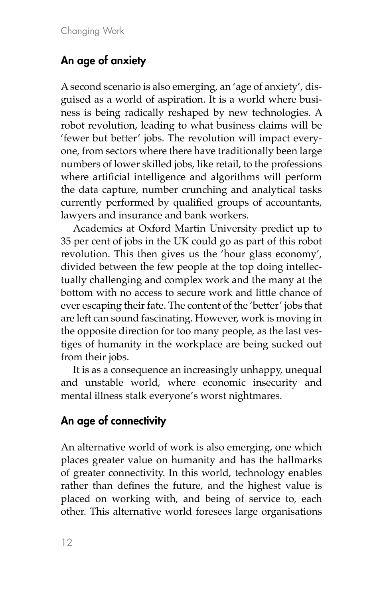## An age of anxiety

A second scenario is also emerging, an 'age of anxiety', disguised as a world of aspiration. It is a world where business is being radically reshaped by new technologies. A robot revolution, leading to what business claims will be 'fewer but better' jobs. The revolution will impact everyone, from sectors where there have traditionally been large numbers of lower skilled jobs, like retail, to the professions where artificial intelligence and algorithms will perform the data capture, number crunching and analytical tasks currently performed by qualified groups of accountants, lawyers and insurance and bank workers.

Academics at Oxford Martin University predict up to 35 per cent of jobs in the UK could go as part of this robot revolution. This then gives us the 'hour glass economy', divided between the few people at the top doing intellectually challenging and complex work and the many at the bottom with no access to secure work and little chance of ever escaping their fate. The content of the 'better' jobs that are left can sound fascinating. However, work is moving in the opposite direction for too many people, as the last vestiges of humanity in the workplace are being sucked out from their jobs.

It is as a consequence an increasingly unhappy, unequal and unstable world, where economic insecurity and mental illness stalk everyone's worst nightmares.

## An age of connectivity

An alternative world of work is also emerging, one which places greater value on humanity and has the hallmarks of greater connectivity. In this world, technology enables rather than defines the future, and the highest value is placed on working with, and being of service to, each other. This alternative world foresees large organisations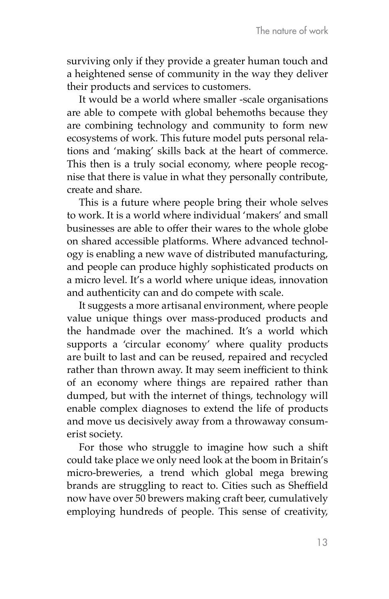surviving only if they provide a greater human touch and a heightened sense of community in the way they deliver their products and services to customers.

It would be a world where smaller -scale organisations are able to compete with global behemoths because they are combining technology and community to form new ecosystems of work. This future model puts personal relations and 'making' skills back at the heart of commerce. This then is a truly social economy, where people recognise that there is value in what they personally contribute, create and share.

This is a future where people bring their whole selves to work. It is a world where individual 'makers' and small businesses are able to offer their wares to the whole globe on shared accessible platforms. Where advanced technology is enabling a new wave of distributed manufacturing, and people can produce highly sophisticated products on a micro level. It's a world where unique ideas, innovation and authenticity can and do compete with scale.

It suggests a more artisanal environment, where people value unique things over mass-produced products and the handmade over the machined. It's a world which supports a 'circular economy' where quality products are built to last and can be reused, repaired and recycled rather than thrown away. It may seem inefficient to think of an economy where things are repaired rather than dumped, but with the internet of things, technology will enable complex diagnoses to extend the life of products and move us decisively away from a throwaway consumerist society.

For those who struggle to imagine how such a shift could take place we only need look at the boom in Britain's micro-breweries, a trend which global mega brewing brands are struggling to react to. Cities such as Sheffield now have over 50 brewers making craft beer, cumulatively employing hundreds of people. This sense of creativity,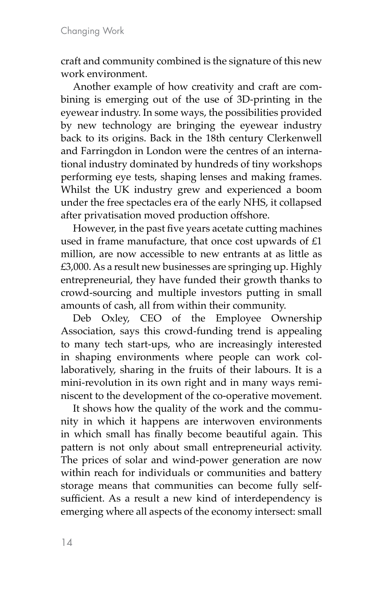craft and community combined is the signature of this new work environment.

Another example of how creativity and craft are combining is emerging out of the use of 3D-printing in the eyewear industry. In some ways, the possibilities provided by new technology are bringing the eyewear industry back to its origins. Back in the 18th century Clerkenwell and Farringdon in London were the centres of an international industry dominated by hundreds of tiny workshops performing eye tests, shaping lenses and making frames. Whilst the UK industry grew and experienced a boom under the free spectacles era of the early NHS, it collapsed after privatisation moved production offshore.

However, in the past five years acetate cutting machines used in frame manufacture, that once cost upwards of £1 million, are now accessible to new entrants at as little as £3,000. As a result new businesses are springing up. Highly entrepreneurial, they have funded their growth thanks to crowd-sourcing and multiple investors putting in small amounts of cash, all from within their community.

Deb Oxley, CEO of the Employee Ownership Association, says this crowd-funding trend is appealing to many tech start-ups, who are increasingly interested in shaping environments where people can work collaboratively, sharing in the fruits of their labours. It is a mini-revolution in its own right and in many ways reminiscent to the development of the co-operative movement.

It shows how the quality of the work and the community in which it happens are interwoven environments in which small has finally become beautiful again. This pattern is not only about small entrepreneurial activity. The prices of solar and wind-power generation are now within reach for individuals or communities and battery storage means that communities can become fully selfsufficient. As a result a new kind of interdependency is emerging where all aspects of the economy intersect: small